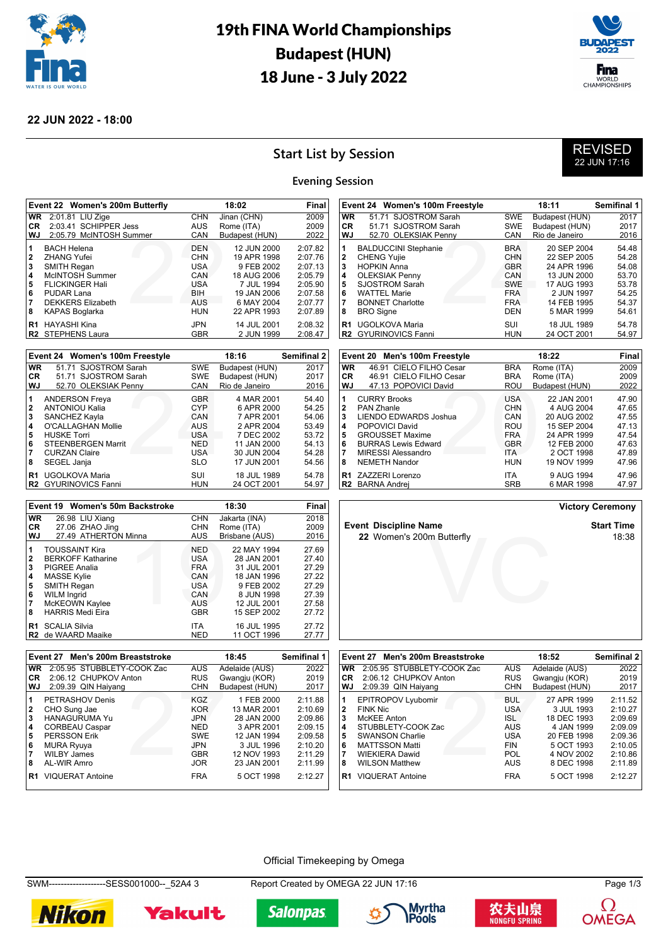

## 19th FINA World Championships Budapest (HUN) 18 June - 3 July 2022



#### **22 JUN 2022 - 18:00**

## **Start List by Session**

### REVISED 22 JUN 17:16

#### **Evening Session**

|                      | Event 22 Women's 200m Butterfly              |                          | 18:02                      | Final              |
|----------------------|----------------------------------------------|--------------------------|----------------------------|--------------------|
| <b>WR</b>            | 2:01.81 LIU Zige                             | <b>CHN</b>               | Jinan (CHN)                | 2009               |
| CR.                  | 2:03.41 SCHIPPER Jess                        | <b>AUS</b>               | Rome (ITA)                 | 2009               |
| WJ                   | 2:05.79 McINTOSH Summer                      | CAN                      | Budapest (HUN)             | 2022               |
| 1<br>$\overline{2}$  | <b>BACH Helena</b><br><b>ZHANG Yufei</b>     | <b>DEN</b><br><b>CHN</b> | 12 JUN 2000<br>19 APR 1998 | 2:07.82<br>2:07.76 |
| 3<br>$\overline{4}$  | <b>SMITH Regan</b><br>McINTOSH Summer        | <b>USA</b><br>CAN        | 9 FEB 2002<br>18 AUG 2006  | 2:07.13<br>2:05.79 |
| 5                    | <b>FLICKINGER Hali</b>                       | USA                      | 7 JUL 1994                 | 2:05.90            |
| 6<br>$\overline{7}$  | PUDAR Lana<br><b>DEKKERS Elizabeth</b>       | <b>BIH</b><br>AUS        | 19 JAN 2006<br>6 MAY 2004  | 2:07.58<br>2:07.77 |
| 8                    | KAPAS Boglarka                               | <b>HUN</b>               | 22 APR 1993                | 2:07.89            |
| R <sub>1</sub><br>R2 | <b>HAYASHI Kina</b><br><b>STEPHENS Laura</b> | <b>JPN</b><br><b>GBR</b> | 14 JUL 2001<br>2 JUN 1999  | 2:08.32<br>2:08.47 |
|                      |                                              |                          |                            |                    |

|                | Event 24 Women's 100m Freestyle |            | 18:16          | <b>Semifinal 2</b> |
|----------------|---------------------------------|------------|----------------|--------------------|
| <b>WR</b>      | 51.71 SJOSTROM Sarah            | SWE        | Budapest (HUN) | 2017               |
| CR.            | 51.71 SJOSTROM Sarah            | <b>SWE</b> | Budapest (HUN) | 2017               |
| WJ             | 52.70 OLEKSIAK Penny            | CAN        | Rio de Janeiro | 2016               |
| 1              | <b>ANDERSON Freya</b>           | <b>GBR</b> | 4 MAR 2001     | 54.40              |
| 2              | <b>ANTONIOU Kalia</b>           | <b>CYP</b> | 6 APR 2000     | 54.25              |
| 3              | SANCHEZ Kayla                   | CAN        | 7 APR 2001     | 54.06              |
| 4              | O'CALLAGHAN Mollie              | AUS        | 2 APR 2004     | 53.49              |
| 5              | <b>HUSKE Torri</b>              | <b>USA</b> | 7 DEC 2002     | 53.72              |
| 6              | <b>STEENBERGEN Marrit</b>       | <b>NED</b> | 11 JAN 2000    | 54.13              |
| 7              | <b>CURZAN Claire</b>            | USA        | 30 JUN 2004    | 54.28              |
| 8              | SEGEL Janja                     | <b>SLO</b> | 17 JUN 2001    | 54.56              |
| R <sub>1</sub> | UGOLKOVA Maria                  | SUI        | 18 JUL 1989    | 54.78              |
| R2             | <b>GYURINOVICS Fanni</b>        | HUN        | 24 OCT 2001    | 54.97              |

| wJ                       | 52.70 OLEKSIAK Penny                                                    | CAN                                    | Rio de Janeiro                            | 2016                    |
|--------------------------|-------------------------------------------------------------------------|----------------------------------------|-------------------------------------------|-------------------------|
| 1<br>$\overline{2}$<br>3 | <b>BALDUCCINI Stephanie</b><br><b>CHENG Yujie</b><br><b>HOPKIN Anna</b> | <b>BRA</b><br><b>CHN</b><br><b>GBR</b> | 20 SEP 2004<br>22 SEP 2005<br>24 APR 1996 | 54.48<br>54.28<br>54.08 |
| 4                        | <b>OLEKSIAK Penny</b>                                                   | CAN                                    | 13 JUN 2000                               | 53.70                   |
| 5<br>6                   | <b>SJOSTROM Sarah</b><br><b>WATTEL Marie</b>                            | <b>SWE</b><br><b>FRA</b>               | 17 AUG 1993<br>2 JUN 1997                 | 53.78<br>54.25          |
| 8                        | <b>BONNET Charlotte</b><br><b>BRO</b> Signe                             | <b>FRA</b><br>DEN                      | 14 FEB 1995<br>5 MAR 1999                 | 54.37<br>54.61          |
| R <sub>1</sub>           | <b>UGOLKOVA Maria</b><br>R <sub>2</sub> GYURINOVICS Fanni               | SUI<br><b>HUN</b>                      | 18 JUL 1989<br>24 OCT 2001                | 54.78<br>54.97          |
|                          |                                                                         |                                        |                                           |                         |
|                          | Event 20 Men's 100m Freestyle                                           |                                        | 18:22                                     | Final                   |
| <b>WR</b>                | 46.91 CIELO FILHO Cesar                                                 | <b>BRA</b>                             | Rome (ITA)                                | 2009                    |
| <b>CR</b>                | 46.91 CIELO FILHO Cesar                                                 | <b>BRA</b>                             | Rome (ITA)                                | 2009                    |
| W.J                      | 47 13 POPOVICI David                                                    | <b>ROU</b>                             | <b>Budapest (HUN)</b>                     | 2022                    |

**Event 24 Women's 100m Freestyle 18:11 Semifinal 1 WR** 51.71 SJOSTROM Sarah SWE Budapest (HUN) 2017<br>**CR** 51.71 SJOSTROM Sarah SWE Budapest (HUN) 2017

52.70 OLEKSIAK Penny CAN Rio de Janeiro 2016

| CR. | 46.91 CIELO FILHO Cesar    | <b>BRA</b> | Rome (ITA)     | 2009  |
|-----|----------------------------|------------|----------------|-------|
| WJ  | 47.13 POPOVICI David       | ROU        | Budapest (HUN) | 2022  |
| 1   | <b>CURRY Brooks</b>        | <b>USA</b> | 22 JAN 2001    | 47.90 |
| 2   | <b>PAN Zhanle</b>          | <b>CHN</b> | 4 AUG 2004     | 47.65 |
| 3   | LIENDO EDWARDS Joshua      | CAN        | 20 AUG 2002    | 47.55 |
| 4   | POPOVICI David             | ROU        | 15 SEP 2004    | 47.13 |
| 5   | <b>GROUSSET Maxime</b>     | <b>FRA</b> | 24 APR 1999    | 47.54 |
| 6   | <b>BURRAS Lewis Edward</b> | <b>GBR</b> | 12 FEB 2000    | 47.63 |
| 7   | MIRESSI Alessandro         | ITA.       | 2 OCT 1998     | 47.89 |
| 8   | <b>NEMETH Nandor</b>       | HUN        | 19 NOV 1999    | 47.96 |
|     | R1 ZAZZERI Lorenzo         | <b>ITA</b> | 9 AUG 1994     | 47.96 |
|     | <b>R2</b> BARNA Andrei     | <b>SRB</b> | 6 MAR 1998     | 47.97 |

m Butterfly<br>
Version of the state of the state of the state of the state of the state of the state of the state of the state of the state of the state of the state of the state of the state of the state of the state of the

|                            | Event 19 Women's 50m Backstroke                                                                                                      |                                                                    | 18:30                                                                                | Final                                              |
|----------------------------|--------------------------------------------------------------------------------------------------------------------------------------|--------------------------------------------------------------------|--------------------------------------------------------------------------------------|----------------------------------------------------|
| <b>WR</b>                  | 26.98 LIU Xiang                                                                                                                      | <b>CHN</b>                                                         | Jakarta (INA)                                                                        | 2018                                               |
| <b>CR</b>                  | 27.06 ZHAO Jing                                                                                                                      | <b>CHN</b>                                                         | Rome (ITA)                                                                           | 2009                                               |
| WJ                         | 27.49 ATHERTON Minna                                                                                                                 | <b>AUS</b>                                                         | Brisbane (AUS)                                                                       | 2016                                               |
| 1<br>2<br>3<br>4<br>5<br>6 | <b>TOUSSAINT Kira</b><br><b>BERKOFF Katharine</b><br>PIGREE Analia<br><b>MASSE Kylie</b><br><b>SMITH Regan</b><br><b>WILM Ingrid</b> | <b>NED</b><br><b>USA</b><br><b>FRA</b><br>CAN<br><b>USA</b><br>CAN | 22 MAY 1994<br>28 JAN 2001<br>31 JUL 2001<br>18 JAN 1996<br>9 FEB 2002<br>8 JUN 1998 | 27.69<br>27.40<br>27.29<br>27.22<br>27.29<br>27.39 |
| 7                          | McKEOWN Kaylee                                                                                                                       | AUS                                                                | 12 JUL 2001                                                                          | 27.58                                              |
| 8                          | <b>HARRIS Medi Eira</b>                                                                                                              | <b>GBR</b>                                                         | 15 SEP 2002                                                                          | 27.72                                              |
| R <sub>1</sub>             | <b>SCALIA Silvia</b>                                                                                                                 | <b>ITA</b>                                                         | 16 JUL 1995                                                                          | 27.72                                              |
| R <sub>2</sub>             | de WAARD Maaike                                                                                                                      | <b>NED</b>                                                         | 11 OCT 1996                                                                          | 27.77                                              |

CHN BL<br>
KGZ<br>
KOR<br>
JPN<br>
NED<br>
SWE<br>
JPN<br>
GBR<br>
JOR<br>
TPN

**R1** VIQUERAT Antoine **FRA** 5 OCT 1998 2:12.27

**5** PERSSON Erik SWE 12 JAN 1994 2:09.58<br>MURA Ryuya JPN 3 JUL 1996 2:10.20 **6** MURA Ryuya JPN 3 JUL 1996 2:10.20 **7** WILBY James GBR 12 NOV 1993 2:11.29

**1** PETRASHOV Denis **1 KGZ** 1 FEB 2000 2:11.88<br>**2** CHO Sung Jae **12 CHO 2:10.69** KOR 13 MAR 2001 2:10.69 **2** CHO Sung Jae KOR 13 MAR 2001 2:10.69 **3** HANAGURUMA Yu JPN 28 JAN 2000 2:09.86

**Event 27 Men's 200m Breaststroke 18:45 Semifinal 1 WR** 2:05.95 STUBBLETY-COOK Zac AUS Adelaide (AUS) 2022<br> **CR** 2:06.12 CHUPKOV Anton RUS Gwangju (KOR) 2019 **CR** 2:06.12 CHUPKOV Anton RUS Gwangju (KOR) 2019<br> **WJ** 2:09.39 QIN Haiyang CHN Budapest (HUN) 2017

**22** Women's 200m Butterfly

**CR** 51.71 SJOSTROM Sarah<br>**WJ** 52.70 OLEKSIAK Penny

**Victory Ceremony**

**Event Discipline Name Start Time**<br>22 Women's 200m Butterfly **Start Time Start Time** 

27 **Event 27 Men's 200m Breaststroke 18:52 Semifinal 2 WR** 2:05.95 STUBBLETY-COOK Zac AUS Adelaide (AUS) 2022<br> **CR** 2:06.12 CHUPKOV Anton RUS Gwangju (KOR) 2019 **CR** 2:06.12 CHUPKOV Anton RUS Gwangju (KOR) 2019<br> **WJ** 2:09.39 QIN Haiyang CHN Budapest (HUN) 2017 2:09.39 QIN Haiyang **1** EPITROPOV Lyubomir BUL 27 APR 1999 2:11.52 **2** FINK Nic 2010 2:10.27<br>**2** FINK Nic 2:10.27<br>**3** McKEE Anton 2:09.69 McKEE Anton **ISL 18 DEC 1993** 2:09.69<br> **3** STUBBLETY-COOK Zac AUS 4 JAN 1999 2:09.09<br>
SWANSON Charlie **ISA** 20 FEB 1998 2:09.36 **4** STUBBLETY-COOK Zac **AUS** 4 JAN 1999<br> **5** SWANSON Charlie **1998** 11SA 20 FER 1998 **5** SWANSON Charlie **1998** USA 20 FEB 1998 2:09.36<br>MATTSSON Matti **1998** FIN 5 OCT 1993 2:10.05 **6** MATTSSON Matti FIN 5 OCT 1993 2:10.05 **7** WIEKIERA Dawid POL 4 NOV 2002 2:10.86 **WILSON Matthew R1** VIQUERAT Antoine FRA 5 OCT 1998 2:12.27

Official Timekeeping by Omega

SWM-------------------SESS001000--\_52A4 3 Report Created by OMEGA 22 JUN 17:16 Page 1/3

**4** CORBEAU Caspar **1988 NED 3 APR 2008 2:09.15 APP 2:09.15 APP 3:09.15 APP 3:09.15 APP 3:09.15 APP 3:09.15 APP 3:09.15 APP 3:09.15 APP 3:09.15 APP 3:09.15 APP 3:09.15 APP 3:09.15 APP 3:09.15 APP 3:09.15 APP 3:09.15 APP 3:** 



2:09.39 QIN Haiyang

**AL-WIR Amro** 









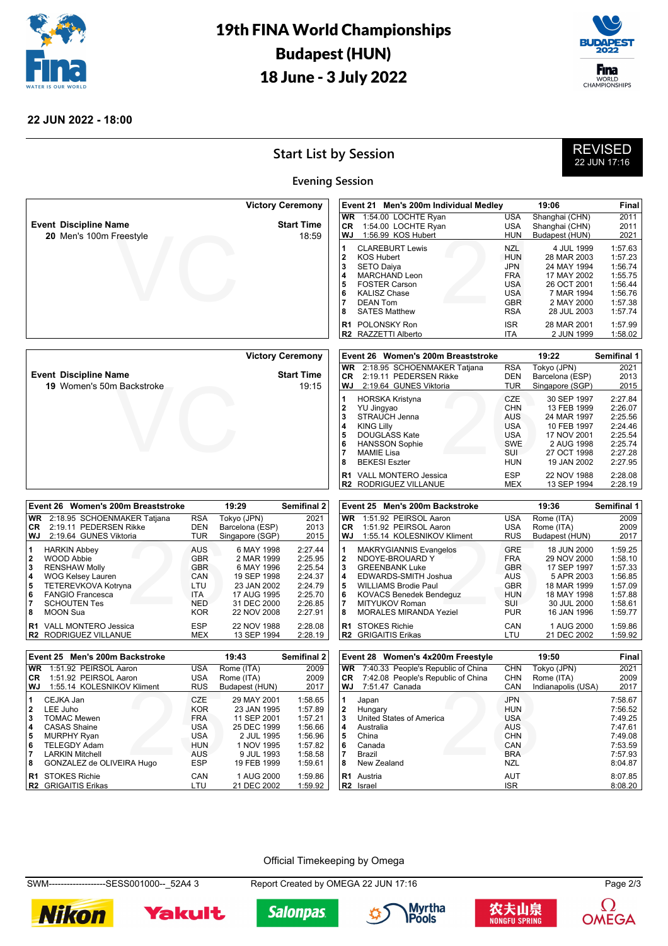

# 19th FINA World Championships Budapest (HUN) 18 June - 3 July 2022



#### **22 JUN 2022 - 18:00**

# **Start List by Session**

| <b>REVISED</b> |  |
|----------------|--|
| 22 JUN 17 16   |  |

|                                                         | <b>Evening Session</b>     |                                                                                                                                                                                                               |                                                                                                              |                                                                                                                   |                                                                                      |
|---------------------------------------------------------|----------------------------|---------------------------------------------------------------------------------------------------------------------------------------------------------------------------------------------------------------|--------------------------------------------------------------------------------------------------------------|-------------------------------------------------------------------------------------------------------------------|--------------------------------------------------------------------------------------|
|                                                         | <b>Victory Ceremony</b>    | Event 21<br>Men's 200m Individual Medley                                                                                                                                                                      |                                                                                                              | 19:06                                                                                                             | Final                                                                                |
| <b>Event Discipline Name</b><br>20 Men's 100m Freestyle | <b>Start Time</b><br>18:59 | 1:54.00 LOCHTE Ryan<br><b>WR</b><br>1:54.00 LOCHTE Ryan<br>СR<br>1:56.99 KOS Hubert<br>WJ                                                                                                                     | <b>USA</b><br><b>USA</b><br><b>HUN</b>                                                                       | Shanghai (CHN)<br>Shanghai (CHN)<br>Budapest (HUN)                                                                | 2011<br>2011<br>2021                                                                 |
|                                                         |                            | <b>CLAREBURT Lewis</b><br>KOS Hubert<br>12<br> 3<br><b>SETO Daiva</b><br>MARCHAND Leon<br>14<br><b>FOSTER Carson</b><br>5<br><b>KALISZ Chase</b><br>l 6<br><b>DEAN Tom</b><br>17<br><b>SATES Matthew</b><br>8 | <b>NZL</b><br><b>HUN</b><br><b>JPN</b><br><b>FRA</b><br><b>USA</b><br><b>USA</b><br><b>GBR</b><br><b>RSA</b> | 4 JUL 1999<br>28 MAR 2003<br>24 MAY 1994<br>17 MAY 2002<br>26 OCT 2001<br>7 MAR 1994<br>2 MAY 2000<br>28 JUL 2003 | 1:57.63<br>1:57.23<br>1:56.74<br>1:55.75<br>1:56.44<br>1:56.76<br>1:57.38<br>1:57.74 |
|                                                         |                            | <b>BI BOLOHOLALD</b>                                                                                                                                                                                          | $\sim$                                                                                                       | 0.11100001                                                                                                        | 1.77.00                                                                              |

**R2** RAZZETTI Alberto

|                                  | <b>Victory Ceremony</b> |
|----------------------------------|-------------------------|
| <b>Event Discipline Name</b>     | <b>Start Time</b>       |
| <b>19</b> Women's 50m Backstroke | 19.15                   |

|                                                 | <b>Victory Ceremony</b>    |                              |                                               | Event 26 Women's 200m Breaststroke                                                                               |                                                                                                       | 19:22                                                                                                               | Semifinal 1                                                                          |
|-------------------------------------------------|----------------------------|------------------------------|-----------------------------------------------|------------------------------------------------------------------------------------------------------------------|-------------------------------------------------------------------------------------------------------|---------------------------------------------------------------------------------------------------------------------|--------------------------------------------------------------------------------------|
| nt Discipline Name<br>19 Women's 50m Backstroke | <b>Start Time</b><br>19:15 | <b>WR</b><br><b>CR</b><br>WJ |                                               | 2:18.95 SCHOENMAKER Tatjana<br>2:19.11 PEDERSEN Rikke<br>2:19.64 GUNES Viktoria                                  | <b>RSA</b><br><b>DEN</b><br>TUR                                                                       | Tokyo (JPN)<br>Barcelona (ESP)<br>Singapore (SGP)                                                                   | 2021<br>2013<br>2015                                                                 |
|                                                 |                            | 2<br>3<br>4<br>5<br>6<br>8   | YU Jingyao<br><b>KING Lilly</b><br>MAMIE Lisa | <b>HORSKA Kristyna</b><br>STRAUCH Jenna<br><b>DOUGLASS Kate</b><br><b>HANSSON Sophie</b><br><b>BEKESI Eszter</b> | <b>CZE</b><br><b>CHN</b><br><b>AUS</b><br><b>USA</b><br><b>USA</b><br><b>SWE</b><br>SUI<br><b>HUN</b> | 30 SEP 1997<br>13 FEB 1999<br>24 MAR 1997<br>10 FEB 1997<br>17 NOV 2001<br>2 AUG 1998<br>27 OCT 1998<br>19 JAN 2002 | 2:27.84<br>2:26.07<br>2:25.56<br>2:24.46<br>2:25.54<br>2:25.74<br>2:27.28<br>2:27.95 |
|                                                 |                            | R1                           |                                               | <b>VALL MONTERO Jessica</b><br>R2 RODRIGUEZ VILLANUE                                                             | <b>ESP</b><br><b>MEX</b>                                                                              | 22 NOV 1988<br>13 SEP 1994                                                                                          | 2:28.08<br>2:28.19                                                                   |

**7** DEAN Tom GBR 2 MAY 2000 1:57.38 **8** SATES Matthew **RSA** 28 JUL 2003 1:57.74 **R1** POLONSKY Ron **ISR** 28 MAR 2001 1:57.99<br> **R2** RAZZETTI Alberto **ISB 1:58.02** 

|              | Event 26 Women's 200m Breaststroke |            | 19:29           | <b>Semifinal 2</b> |
|--------------|------------------------------------|------------|-----------------|--------------------|
| <b>WR</b>    | 2:18.95 SCHOENMAKER Tatjana        | <b>RSA</b> | Tokyo (JPN)     | 2021               |
| CR.          | 2:19.11 PEDERSEN Rikke             | DEN        | Barcelona (ESP) | 2013               |
| WJ           | 2:19.64 GUNES Viktoria             | <b>TUR</b> | Singapore (SGP) | 2015               |
| 1            | <b>HARKIN Abbey</b>                | <b>AUS</b> | 6 MAY 1998      | 2:27.44            |
| $\mathbf{2}$ | <b>WOOD Abbie</b>                  | <b>GBR</b> | 2 MAR 1999      | 2:25.95            |
| 3            | <b>RENSHAW Molly</b>               | <b>GBR</b> | 6 MAY 1996      | 2:25.54            |
| 4            | <b>WOG Kelsey Lauren</b>           | CAN        | 19 SEP 1998     | 2:24.37            |
| 5            | TETEREVKOVA Kotryna                | LTU        | 23 JAN 2002     | 2:24.79            |
| 6            | <b>FANGIO Francesca</b>            | <b>ITA</b> | 17 AUG 1995     | 2:25.70            |
|              | <b>SCHOUTEN Tes</b>                | <b>NED</b> | 31 DEC 2000     | 2:26.85            |
| 8            | <b>MOON Sua</b>                    | <b>KOR</b> | 22 NOV 2008     | 2:27.91            |
| R1           | <b>VALL MONTERO Jessica</b>        | <b>ESP</b> | 22 NOV 1988     | 2:28.08            |
| R2           | RODRIGUEZ VILLANUE                 | MEX        | 13 SEP 1994     | 2:28.19            |

|                                                 | Event 25 Men's 200m Backstroke                                                                                                                                                                                        |                                                                                         | 19:36                                                                                                               | Semifinal 1                                                                          |
|-------------------------------------------------|-----------------------------------------------------------------------------------------------------------------------------------------------------------------------------------------------------------------------|-----------------------------------------------------------------------------------------|---------------------------------------------------------------------------------------------------------------------|--------------------------------------------------------------------------------------|
| <b>WR</b>                                       | 1:51.92 PEIRSOL Aaron                                                                                                                                                                                                 | <b>USA</b>                                                                              | Rome (ITA)                                                                                                          | 2009                                                                                 |
| CR.                                             | 1:51.92 PEIRSOL Aaron                                                                                                                                                                                                 | <b>USA</b>                                                                              | Rome (ITA)                                                                                                          | 2009                                                                                 |
| WJ                                              | 1:55.14 KOLESNIKOV Kliment                                                                                                                                                                                            | <b>RUS</b>                                                                              | Budapest (HUN)                                                                                                      | 2017                                                                                 |
| 1<br>$\mathbf{2}$<br>3<br>4<br>5<br>6<br>7<br>8 | <b>MAKRYGIANNIS Evangelos</b><br>NDOYE-BROUARD Y<br><b>GREENBANK Luke</b><br>EDWARDS-SMITH Joshua<br><b>WILLIAMS Brodie Paul</b><br><b>KOVACS Benedek Bendequz</b><br>MITYUKOV Roman<br><b>MORALES MIRANDA Yeziel</b> | <b>GRE</b><br><b>FRA</b><br><b>GBR</b><br>AUS<br><b>GBR</b><br>HUN<br>SUI<br><b>PUR</b> | 18 JUN 2000<br>29 NOV 2000<br>17 SEP 1997<br>5 APR 2003<br>18 MAR 1999<br>18 MAY 1998<br>30 JUL 2000<br>16 JAN 1996 | 1:59.25<br>1:58.10<br>1:57.33<br>1:56.85<br>1:57.09<br>1:57.88<br>1:58.61<br>1:59.77 |
| R1<br>R2                                        | <b>STOKES Richie</b><br><b>GRIGAITIS Erikas</b>                                                                                                                                                                       | CAN<br>LTU                                                                              | 1 AUG 2000<br>21 DEC 2002                                                                                           | 1:59.86<br>1:59.92                                                                   |
|                                                 |                                                                                                                                                                                                                       |                                                                                         |                                                                                                                     |                                                                                      |

| Event 25 Men's 200m Backstroke |                            |            | 19:43          | <b>Semifinal 2</b> |
|--------------------------------|----------------------------|------------|----------------|--------------------|
| <b>WR</b>                      | 1:51.92 PEIRSOL Aaron      | <b>USA</b> | Rome (ITA)     | 2009               |
| CR.                            | 1:51.92 PEIRSOL Aaron      | <b>USA</b> | Rome (ITA)     | 2009               |
| WJ.                            | 1:55.14 KOLESNIKOV Kliment | <b>RUS</b> | Budapest (HUN) | 2017               |
| 1                              | CEJKA Jan                  | CZE        | 29 MAY 2001    | 1:58.65            |
| $\mathbf{2}$                   | LEE Juho                   | <b>KOR</b> | 23 JAN 1995    | 1:57.89            |
| 3                              | <b>TOMAC Mewen</b>         | <b>FRA</b> | 11 SEP 2001    | 1:57.21            |
| 4                              | <b>CASAS Shaine</b>        | <b>USA</b> | 25 DEC 1999    | 1:56.66            |
| 5                              | <b>MURPHY Ryan</b>         | <b>USA</b> | 2 JUL 1995     | 1:56.96            |
| 6                              | <b>TELEGDY Adam</b>        | <b>HUN</b> | 1 NOV 1995     | 1:57.82            |
| 17                             | <b>LARKIN Mitchell</b>     | AUS        | 9 JUL 1993     | 1:58.58            |
| 8                              | GONZALEZ de OLIVEIRA Hugo  | <b>ESP</b> | 19 FEB 1999    | 1:59.61            |
| R <sub>1</sub>                 | <b>STOKES Richie</b>       | CAN        | 1 AUG 2000     | 1:59.86            |
| R <sub>2</sub>                 | <b>GRIGAITIS Erikas</b>    | LTU        | 21 DEC 2002    | 1:59.92            |

| Event 28 Women's 4x200m Freestyle |                                    | 19:50                    |                    | <b>Final</b>       |
|-----------------------------------|------------------------------------|--------------------------|--------------------|--------------------|
| <b>WR</b>                         | 7:40.33 People's Republic of China | <b>CHN</b>               | Tokyo (JPN)        | 2021               |
| <b>CR</b>                         | 7:42.08 People's Republic of China | <b>CHN</b>               | Rome (ITA)         | 2009               |
| <b>WJ</b>                         | 7:51.47 Canada                     | CAN                      | Indianapolis (USA) | 2017               |
| 1<br>$\mathbf{2}$                 | Japan<br>Hungary                   | <b>JPN</b><br><b>HUN</b> |                    | 7:58.67<br>7:56.52 |
| 3                                 | United States of America           | <b>USA</b>               |                    | 7:49.25            |
| 4                                 | Australia                          | AUS                      |                    | 7:47.61            |
| 5                                 | China                              | <b>CHN</b>               |                    | 7:49.08            |
| 6                                 | Canada                             | CAN                      |                    | 7:53.59            |
|                                   | Brazil                             | <b>BRA</b>               |                    | 7:57.93            |
| 8                                 | New Zealand                        | <b>NZL</b>               |                    | 8:04.87            |
| R <sub>1</sub>                    | Austria                            | AUT                      |                    | 8:07.85            |
| R <sub>2</sub>                    | Israel                             | <b>ISR</b>               |                    | 8:08.20            |

Official Timekeeping by Omega

SWM-------------------SESS001000--\_52A4 3 Report Created by OMEGA 22 JUN 17:16 Page 2/3